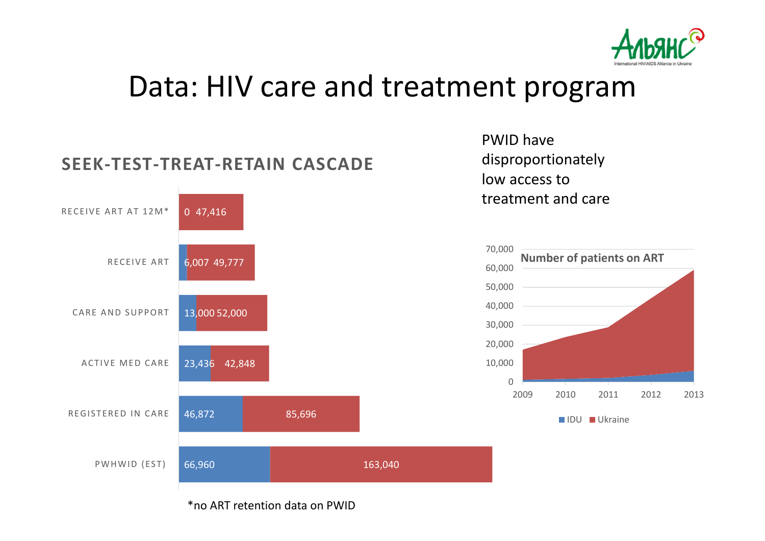

## Data: HIV care and treatment program



PWID have disproportionately low access to treatment and care



\*no ART retention data on PWID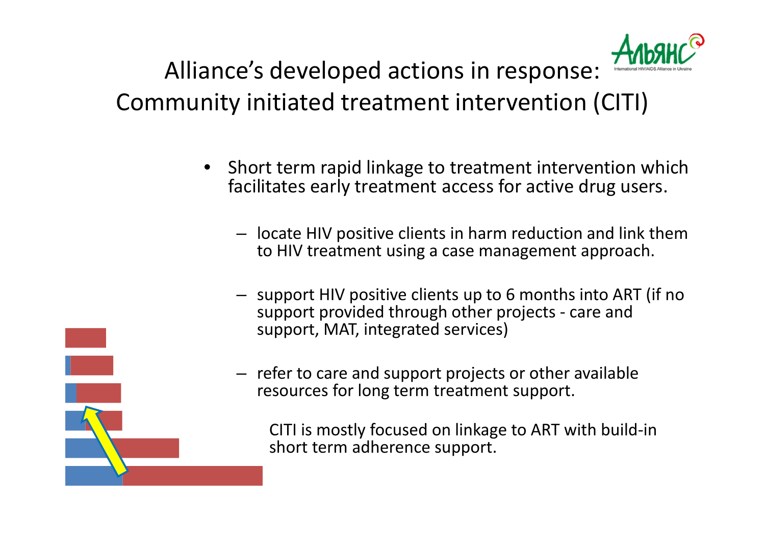

Alliance's developed actions in response: Community initiated treatment intervention (CITI)

- • Short term rapid linkage to treatment intervention which facilitates early treatment access for active drug users.
	- locate HIV positive clients in harm reduction and link them to HIV treatment using a case management approach.
	- support HIV positive clients up to 6 months into ART (if no support provided through other projects - care and support, MAT, integrated services)



– refer to care and support projects or other available resources for long term treatment support.

CITI is mostly focused on linkage to ART with build-in short term adherence support.